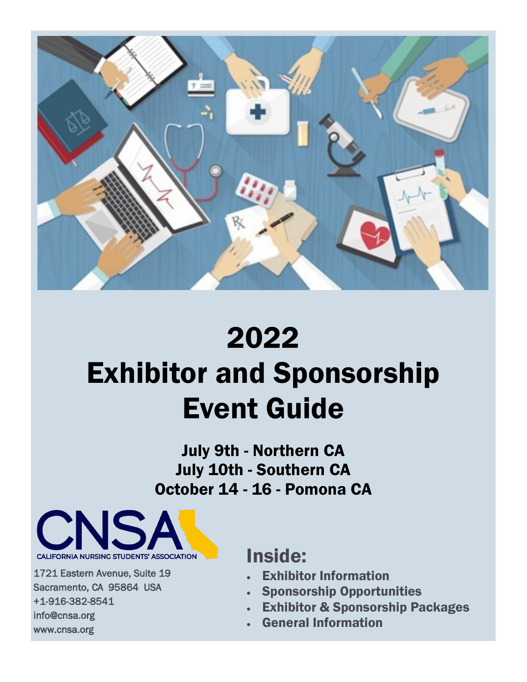

## 2022

# Exhibitor and Sponsorship Event Guide

July 9th - Northern CA July 10th - Southern CA October 14 - 16 - Pomona CA



1721 Eastern Avenue, Suite 19 Sacramento, CA 95864 USA +1-916-382-8541 info@cnsa.org www.cnsa.org

I

## Inside:

- **Exhibitor Information**
- Sponsorship Opportunities
- **Exhibitor & Sponsorship Packages**
- General Information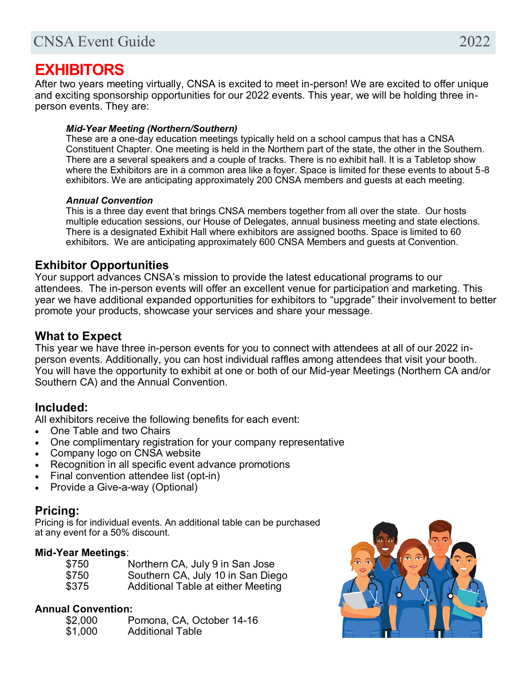## **EXHIBITORS**

After two years meeting virtually, CNSA is excited to meet in-person! We are excited to offer unique and exciting sponsorship opportunities for our 2022 events. This year, we will be holding three inperson events. They are:

#### *Mid-Year Meeting (Northern/Southern)*

These are a one-day education meetings typically held on a school campus that has a CNSA Constituent Chapter. One meeting is held in the Northern part of the state, the other in the Southern. There are a several speakers and a couple of tracks. There is no exhibit hall. It is a Tabletop show where the Exhibitors are in a common area like a foyer. Space is limited for these events to about 5-8 exhibitors. We are anticipating approximately 200 CNSA members and guests at each meeting.

#### *Annual Convention*

This is a three day event that brings CNSA members together from all over the state. Our hosts multiple education sessions, our House of Delegates, annual business meeting and state elections. There is a designated Exhibit Hall where exhibitors are assigned booths. Space is limited to 60 exhibitors. We are anticipating approximately 600 CNSA Members and guests at Convention.

#### **Exhibitor Opportunities**

Your support advances CNSA's mission to provide the latest educational programs to our attendees. The in-person events will offer an excellent venue for participation and marketing. This year we have additional expanded opportunities for exhibitors to "upgrade" their involvement to better promote your products, showcase your services and share your message.

#### **What to Expect**

This year we have three in-person events for you to connect with attendees at all of our 2022 inperson events. Additionally, you can host individual raffles among attendees that visit your booth. You will have the opportunity to exhibit at one or both of our Mid-year Meetings (Northern CA and/or Southern CA) and the Annual Convention.

#### **Included:**

All exhibitors receive the following benefits for each event:

- One Table and two Chairs
- One complimentary registration for your company representative
- Company logo on CNSA website
- Recognition in all specific event advance promotions
- Final convention attendee list (opt-in)
- Provide a Give-a-way (Optional)

#### **Pricing:**

Pricing is for individual events. An additional table can be purchased at any event for a 50% discount.

#### **Mid-Year Meetings**:

| \$750 | Northern CA, July 9 in San Jose    |
|-------|------------------------------------|
| \$750 | Southern CA, July 10 in San Diego  |
| \$375 | Additional Table at either Meeting |

#### **Annual Convention:**

| \$2,000 | Pomona, CA, October 14-16 |
|---------|---------------------------|
| \$1,000 | <b>Additional Table</b>   |

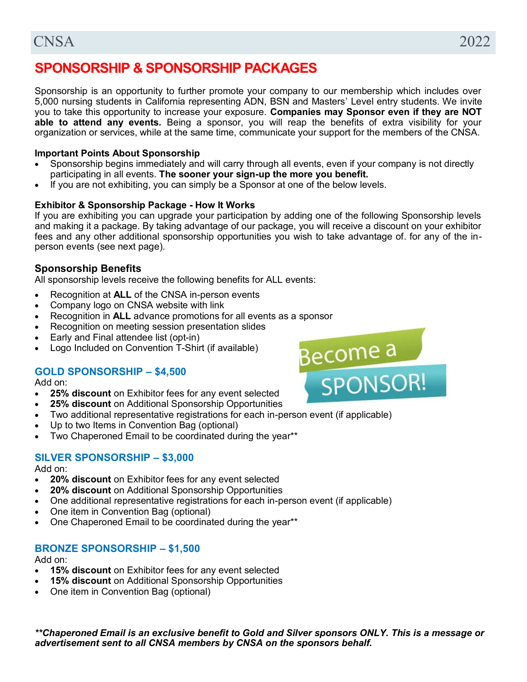### **SPONSORSHIP & SPONSORSHIP PACKAGES**

Sponsorship is an opportunity to further promote your company to our membership which includes over 5,000 nursing students in California representing ADN, BSN and Masters' Level entry students. We invite you to take this opportunity to increase your exposure. **Companies may Sponsor even if they are NOT able to attend any events.** Being a sponsor, you will reap the benefits of extra visibility for your organization or services, while at the same time, communicate your support for the members of the CNSA.

#### **Important Points About Sponsorship**

- Sponsorship begins immediately and will carry through all events, even if your company is not directly participating in all events. **The sooner your sign-up the more you benefit.**
- If you are not exhibiting, you can simply be a Sponsor at one of the below levels.

#### **Exhibitor & Sponsorship Package - How It Works**

If you are exhibiting you can upgrade your participation by adding one of the following Sponsorship levels and making it a package. By taking advantage of our package, you will receive a discount on your exhibitor fees and any other additional sponsorship opportunities you wish to take advantage of. for any of the inperson events (see next page).

#### **Sponsorship Benefits**

All sponsorship levels receive the following benefits for ALL events:

- Recognition at **ALL** of the CNSA in-person events
- Company logo on CNSA website with link
- Recognition in **ALL** advance promotions for all events as a sponsor
- Recognition on meeting session presentation slides
- Early and Final attendee list (opt-in)
- Logo Included on Convention T-Shirt (if available)

#### **GOLD SPONSORSHIP – \$4,500**

Add on:

- **25% discount** on Exhibitor fees for any event selected
- **25% discount** on Additional Sponsorship Opportunities
- Two additional representative registrations for each in-person event (if applicable)
- Up to two Items in Convention Bag (optional)
- Two Chaperoned Email to be coordinated during the year\*\*

#### **SILVER SPONSORSHIP – \$3,000**

Add on:

- **20% discount** on Exhibitor fees for any event selected
- **20% discount** on Additional Sponsorship Opportunities
- One additional representative registrations for each in-person event (if applicable)
- One item in Convention Bag (optional)
- One Chaperoned Email to be coordinated during the year\*\*

#### **BRONZE SPONSORSHIP – \$1,500**

Add on:

- **15% discount** on Exhibitor fees for any event selected
- **15% discount** on Additional Sponsorship Opportunities
- One item in Convention Bag (optional)

*\*\*Chaperoned Email is an exclusive benefit to Gold and Silver sponsors ONLY. This is a message or advertisement sent to all CNSA members by CNSA on the sponsors behalf.* 

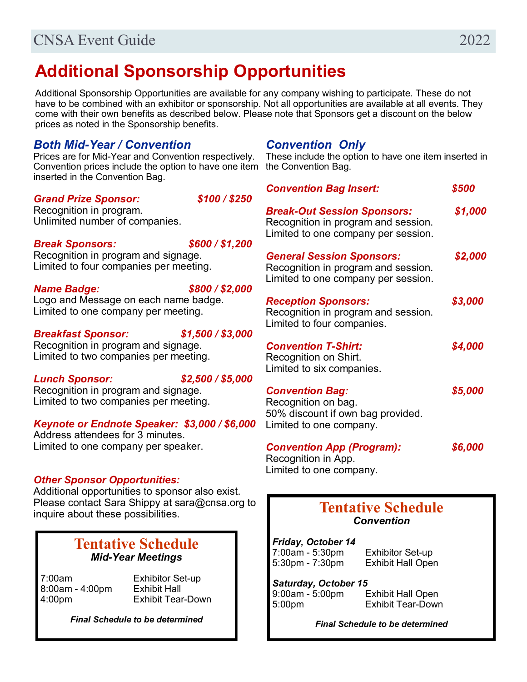## **Additional Sponsorship Opportunities**

Additional Sponsorship Opportunities are available for any company wishing to participate. These do not have to be combined with an exhibitor or sponsorship. Not all opportunities are available at all events. They come with their own benefits as described below. Please note that Sponsors get a discount on the below prices as noted in the Sponsorship benefits.

#### *Both Mid-Year / Convention*

Prices are for Mid-Year and Convention respectively. Convention prices include the option to have one item the Convention Bag. inserted in the Convention Bag.

#### *Grand Prize Sponsor: \$100 / \$250*

Recognition in program. Unlimited number of companies.

#### *Break Sponsors: \$600 / \$1,200*

Recognition in program and signage. Limited to four companies per meeting.

*Name Badge: \$800 / \$2,000*

Logo and Message on each name badge. Limited to one company per meeting.

#### *Breakfast Sponsor: \$1,500 / \$3,000*

Recognition in program and signage. Limited to two companies per meeting.

#### *Lunch Sponsor: \$2,500 / \$5,000*

Recognition in program and signage. Limited to two companies per meeting.

#### *Keynote or Endnote Speaker: \$3,000 / \$6,000*

Address attendees for 3 minutes. Limited to one company per speaker.

#### *Other Sponsor Opportunities:*

Additional opportunities to sponsor also exist. Please contact Sara Shippy at sara@cnsa.org to inquire about these possibilities.

#### **Tentative Schedule** *Mid-Year Meetings*

7:00am Exhibitor Set-up 8:00am - 4:00pm Exhibit Hall

4:00pm Exhibit Tear-Down

*Final Schedule to be determined*

#### *Convention Only*

These include the option to have one item inserted in

| <b>Convention Bag Insert:</b>                                                                                    | \$500   |
|------------------------------------------------------------------------------------------------------------------|---------|
| <b>Break-Out Session Sponsors:</b><br>Recognition in program and session.<br>Limited to one company per session. | \$1,000 |
| <b>General Session Sponsors:</b><br>Recognition in program and session.<br>Limited to one company per session.   | \$2,000 |
| <b>Reception Sponsors:</b><br>Recognition in program and session.<br>Limited to four companies.                  | \$3,000 |
| <b>Convention T-Shirt:</b><br>Recognition on Shirt.<br>Limited to six companies.                                 | \$4,000 |
| <b>Convention Bag:</b><br>Recognition on bag.<br>50% discount if own bag provided.<br>Limited to one company.    | \$5,000 |
| <b>Convention App (Program):</b><br>Recognition in App.<br>Limited to one company.                               | \$6,000 |

### **Tentative Schedule** *Convention*

*Friday, October 14* 7:00am - 5:30pm Exhibitor Set-up

5:30pm - 7:30pm Exhibit Hall Open

*Saturday, October 15* 9:00am - 5:00pm Exhibit Hall Open 5:00pm Exhibit Tear-Down

*Final Schedule to be determined*